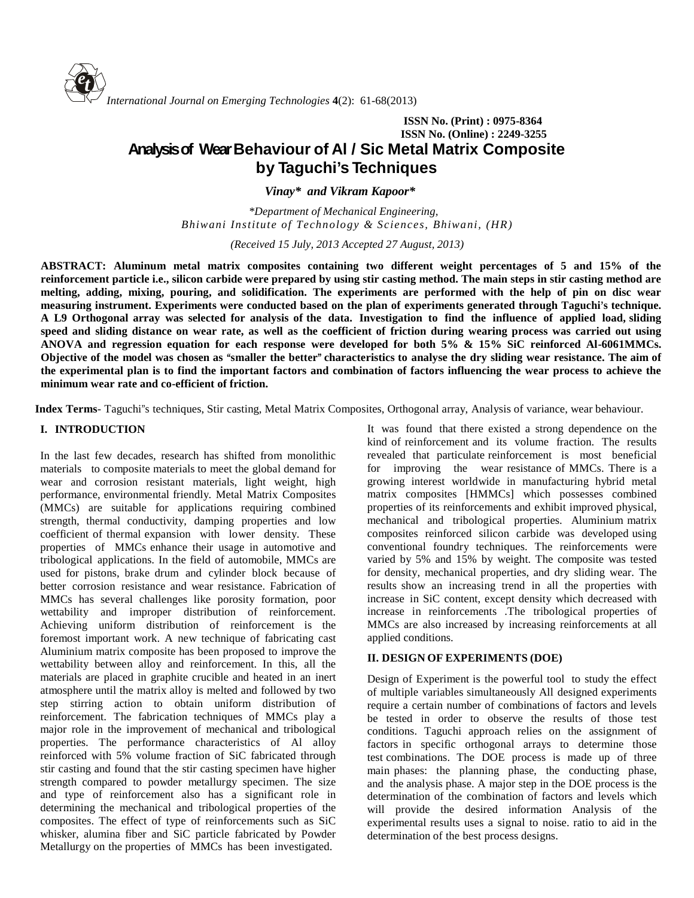

# **ISSN No. (Print) : 0975-8364 ISSN No. (Online) : 2249-3255 Analysisof WearBehaviour of Al / Sic Metal Matrix Composite by Taguchi's Techniques**

*Vinay\* and Vikram Kapoor\**

*\*Department of Mechanical Engineering, Bhiwani Institute of Technology & Sciences, Bhiwani, (HR)*

*(Received 15 July, 2013 Accepted 27 August, 2013)*

**ABSTRACT: Aluminum metal matrix composites containing two different weight percentages of 5 and 15% of the reinforcement particle i.e., silicon carbide were prepared by using stir casting method. The main steps in stir casting method are melting, adding, mixing, pouring, and solidification. The experiments are performed with the help of pin on disc wear** measuring instrument. Experiments were conducted based on the plan of experiments generated through Taguchi's technique. A L9 Orthogonal array was selected for analysis of the data. Investigation to find the influence of applied load, sliding speed and sliding distance on wear rate, as well as the coefficient of friction during wearing process was carried out using **ANOVA and regression equation for each response were developed for both 5% & 15% SiCreinforced Al-6061MMCs.** Objective of the model was chosen as "smaller the better" characteristics to analyse the dry sliding wear resistance. The aim of **the experimental plan is to find the important factors and combination of factors influencing the wear process to achieve the minimum wear rate and co-efficient of friction.**

**Index Terms**- Taguchi"s techniques, Stir casting, Metal Matrix Composites, Orthogonal array, Analysis of variance, wear behaviour.

## **I. INTRODUCTION**

In the last few decades, research has shifted from monolithic materials to composite materials to meet the global demand for wear and corrosion resistant materials, light weight, high performance, environmental friendly. Metal Matrix Composites (MMCs) are suitable for applications requiring combined strength, thermal conductivity, damping properties and low coefficient of thermal expansion with lower density. These properties of MMCs enhance their usage in automotive and tribological applications. In the field of automobile, MMCs are used for pistons, brake drum and cylinder block because of better corrosion resistance and wear resistance. Fabrication of MMCs has several challenges like porosity formation, poor wettability and improper distribution of reinforcement. Achieving uniform distribution of reinforcement is the foremost important work. A new technique of fabricating cast Aluminium matrix composite has been proposed to improve the wettability between alloy and reinforcement. In this, all the materials are placed in graphite crucible and heated in an inert atmosphere until the matrix alloy is melted and followed by two step stirring action to obtain uniform distribution of reinforcement. The fabrication techniques of MMCs play a major role in the improvement of mechanical and tribological properties. The performance characteristics of Al alloy reinforced with 5% volume fraction of SiC fabricated through stir casting and found that the stir casting specimen have higher strength compared to powder metallurgy specimen. The size and type of reinforcement also has a significant role in determining the mechanical and tribological properties of the composites. The effect of type of reinforcements such as SiC whisker, alumina fiber and SiC particle fabricated by Powder Metallurgy on the properties of MMCs has been investigated.

It was found that there existed a strong dependence on the kind of reinforcement and its volume fraction. The results revealed that particulate reinforcement is most beneficial for improving the wear resistance of MMCs. There is a growing interest worldwide in manufacturing hybrid metal matrix composites [HMMCs] which possesses combined properties of its reinforcements and exhibit improved physical, mechanical and tribological properties. Aluminium matrix composites reinforced silicon carbide was developed using conventional foundry techniques. The reinforcements were varied by 5% and 15% by weight. The composite was tested for density, mechanical properties, and dry sliding wear. The results show an increasing trend in all the properties with increase in SiC content, except density which decreased with increase in reinforcements .The tribological properties of MMCs are also increased by increasing reinforcements at all applied conditions.

## **II. DESIGN OF EXPERIMENTS (DOE)**

Design of Experiment is the powerful tool to study the effect of multiple variables simultaneously All designed experiments require a certain number of combinations of factors and levels be tested in order to observe the results of those test conditions. Taguchi approach relies on the assignment of factors in specific orthogonal arrays to determine those test combinations. The DOE process is made up of three main phases: the planning phase, the conducting phase, and the analysis phase. A major step in the DOE process is the determination of the combination of factors and levels which will provide the desired information Analysis of the experimental results uses a signal to noise. ratio to aid in the determination of the best process designs.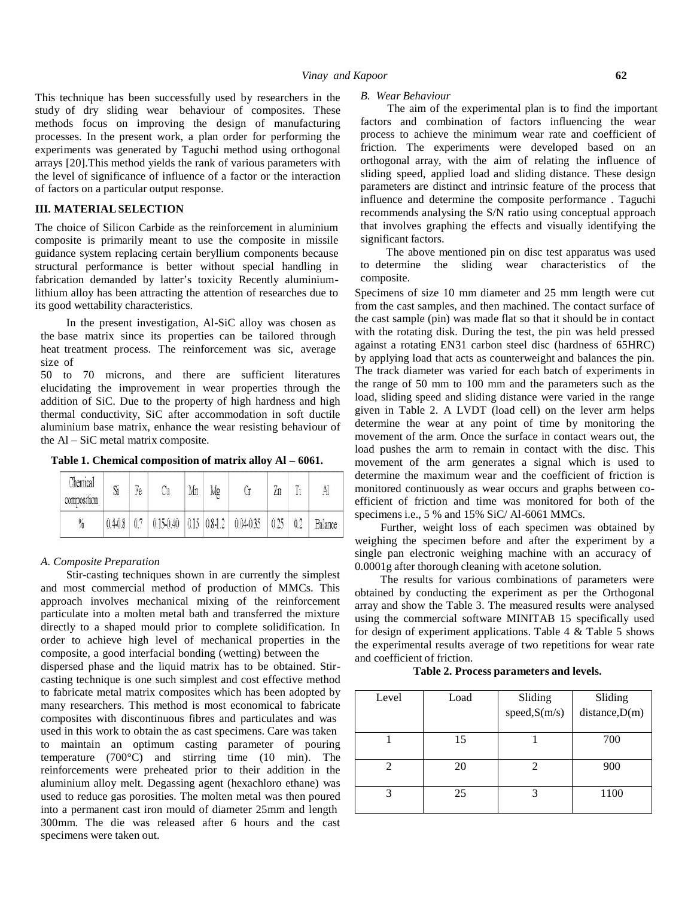This technique has been successfully used by researchers in the study of dry sliding wear behaviour of composites. These methods focus on improving the design of manufacturing processes. In the present work, a plan order for performing the experiments was generated by Taguchi method using orthogonal arrays [20].This method yields the rank of various parameters with the level of significance of influence of a factor or the interaction of factors on a particular output response.

## **III. MATERIALSELECTION**

The choice of Silicon Carbide as the reinforcement in aluminium composite is primarily meant to use the composite in missile guidance system replacing certain beryllium components because structural performance is better without special handling in fabrication demanded by latter's toxicity Recently aluminiumlithium alloy has been attracting the attention of researches due to its good wettability characteristics.

In the present investigation, Al-SiC alloy was chosen as the base matrix since its properties can be tailored through heat treatment process. The reinforcement was sic, average size of

50 to 70 microns, and there are sufficient literatures elucidating the improvement in wear properties through the addition of SiC. Due to the property of high hardness and high thermal conductivity, SiC after accommodation in soft ductile aluminium base matrix, enhance the wear resisting behaviour of the Al– SiC metal matrix composite.

**Table 1. Chemical composition of matrix alloy Al – 6061.**

| Chemical<br>composition | Si    | Ŧe  | Mn | Mg |                                   | π<br>ŁΠ |     | A       |
|-------------------------|-------|-----|----|----|-----------------------------------|---------|-----|---------|
| $\%$                    | 0.408 | 0.7 |    |    | $0.150.40$ 0.15 0.8 1.2 0.04 0.35 | 0.25    | 0.2 | Balance |

#### *A. Composite Preparation*

Stir-casting techniques shown in are currently the simplest and most commercial method of production of MMCs. This approach involves mechanical mixing of the reinforcement particulate into a molten metal bath and transferred the mixture directly to a shaped mould prior to complete solidification. In order to achieve high level of mechanical properties in the composite, a good interfacial bonding (wetting) between the dispersed phase and the liquid matrix has to be obtained. Stir casting technique is one such simplest and cost effective method to fabricate metal matrix composites which has been adopted by many researchers. This method is most economical to fabricate composites with discontinuous fibres and particulates and was used in this work to obtain the as cast specimens. Care was taken to maintain an optimum casting parameter of pouring temperature (700°C) and stirring time (10 min). The reinforcements were preheated prior to their addition in the aluminium alloy melt. Degassing agent (hexachloro ethane) was used to reduce gas porosities. The molten metal was then poured into a permanent cast iron mould of diameter 25mm and length 300mm. The die was released after 6 hours and the cast specimens were taken out.

#### *B. Wear Behaviour*

The aim of the experimental plan is to find the important factors and combination of factors influencing the wear process to achieve the minimum wear rate and coefficient of friction. The experiments were developed based on an orthogonal array, with the aim of relating the influence of sliding speed, applied load and sliding distance. These design parameters are distinct and intrinsic feature of the process that influence and determine the composite performance . Taguchi recommends analysing the S/N ratio using conceptual approach that involves graphing the effects and visually identifying the significant factors.

The above mentioned pin on disc test apparatus was used to determine the sliding wear characteristics of the composite.

Specimens of size 10 mm diameter and 25 mm length were cut from the cast samples, and then machined. The contact surface of the cast sample (pin) was made flat so that it should be in contact with the rotating disk. During the test, the pin was held pressed against a rotating EN31 carbon steel disc (hardness of 65HRC) by applying load that acts as counterweight and balances the pin. The track diameter was varied for each batch of experiments in the range of 50 mm to 100 mm and the parameters such as the load, sliding speed and sliding distance were varied in the range given in Table 2. A LVDT (load cell) on the lever arm helps determine the wear at any point of time by monitoring the movement of the arm. Once the surface in contact wears out, the load pushes the arm to remain in contact with the disc. This movement of the arm generates a signal which is used to determine the maximum wear and the coefficient of friction is monitored continuously as wear occurs and graphs between co efficient of friction and time was monitored for both of the specimens i.e., 5 % and 15% SiC/ Al-6061 MMCs.

Further, weight loss of each specimen was obtained by weighing the specimen before and after the experiment by a single pan electronic weighing machine with an accuracy of 0.0001g after thorough cleaning with acetone solution.

The results for various combinations of parameters were obtained by conducting the experiment as per the Orthogonal array and show the Table 3. The measured results were analysed using the commercial software MINITAB 15 specifically used for design of experiment applications. Table  $4 \&$  Table  $5 \text{ shows}$ the experimental results average of two repetitions for wear rate and coefficient of friction.

### **Table 2. Process parameters and levels.**

| Level | Load | Sliding<br>speed, S(m/s) | Sliding<br>distance,D(m) |
|-------|------|--------------------------|--------------------------|
|       | 15   |                          | 700                      |
|       | 20   |                          | 900                      |
|       | 25   | 3                        | 1100                     |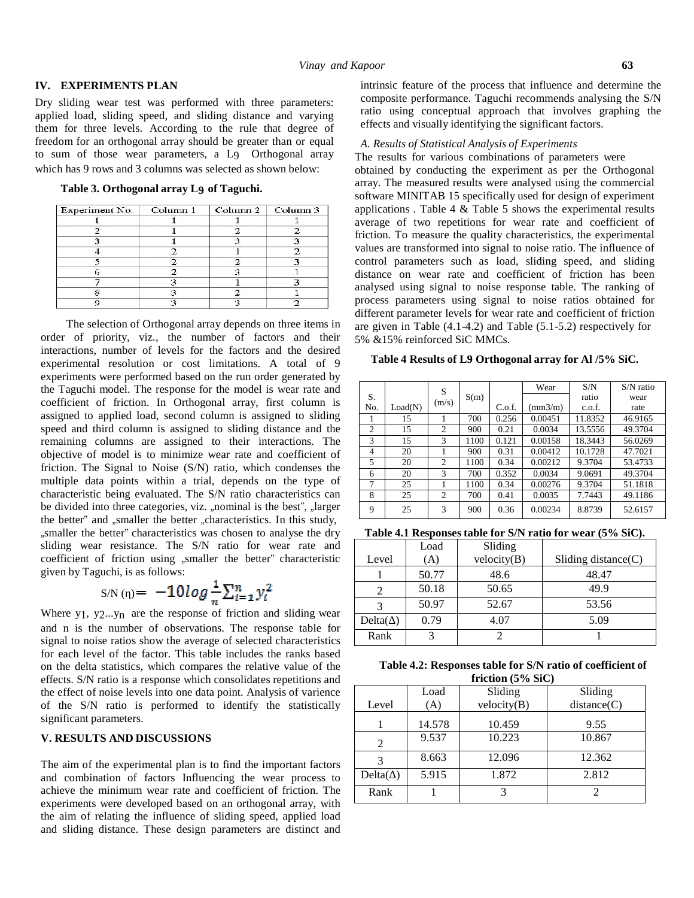#### **IV. EXPERIMENTS PLAN**

Dry sliding wear test was performed with three parameters: applied load, sliding speed, and sliding distance and varying them for three levels. According to the rule that degree of freedom for an orthogonal array should be greater than or equal to sum of those wear parameters, a L9 Orthogonal array which has 9 rows and 3 columns was selected as shown below:

**Table 3. Orthogonal array L9 of Taguchi.**

| Experiment No. | Column <sub>1</sub> | Column $2 \mid$ Column 3 |
|----------------|---------------------|--------------------------|
|                |                     |                          |
|                |                     |                          |
|                |                     |                          |
|                |                     |                          |
|                |                     |                          |
|                |                     |                          |
|                |                     |                          |
|                |                     |                          |
|                |                     |                          |

The selection of Orthogonal array depends on three items in order of priority, viz., the number of factors and their interactions, number of levels for the factors and the desired experimental resolution or cost limitations. A total of 9 experiments were performed based on the run order generated by the Taguchi model. The response for the model is wear rate and coefficient of friction. In Orthogonal array, first column is assigned to applied load, second column is assigned to sliding speed and third column is assigned to sliding distance and the remaining columns are assigned to their interactions. The objective of model is to minimize wear rate and coefficient of friction. The Signal to Noise (S/N) ratio, which condenses the multiple data points within a trial, depends on the type of characteristic being evaluated. The S/N ratio characteristics can be divided into three categories, viz. "nominal is the best", "larger the better" and "smaller the better "characteristics. In this study, "smaller the better" characteristics was chosen to analyse the dry sliding wear resistance. The S/N ratio for wear rate and coefficient of friction using "smaller the better" characteristic given by Taguchi, is as follows:

$$
S/N( ) = -10log \frac{1}{n} \sum_{i=1}^{n} y_i^2
$$

Where  $y_1$ ,  $y_2...y_n$  are the response of friction and sliding wear and n is the number of observations. The response table for signal to noise ratios show the average of selected characteristics for each level of the factor. This table includes the ranks based on the delta statistics, which compares the relative value of the effects. S/N ratio is a response which consolidates repetitions and the effect of noise levels into one data point. Analysis of varience of the S/N ratio is performed to identify the statistically significant parameters.

## **V. RESULTS AND DISCUSSIONS**

The aim of the experimental plan is to find the important factors and combination of factors Influencing the wear process to achieve the minimum wear rate and coefficient of friction. The experiments were developed based on an orthogonal array, with the aim of relating the influence of sliding speed, applied load and sliding distance. These design parameters are distinct and

intrinsic feature of the process that influence and determine the composite performance. Taguchi recommends analysing the S/N ratio using conceptual approach that involves graphing the effects and visually identifying the significant factors.

#### *A. Results of Statistical Analysis of Experiments*

The results for various combinations of parameters were

obtained by conducting the experiment as per the Orthogonal array. The measured results were analysed using the commercial software MINITAB 15 specifically used for design of experiment applications . Table 4 & Table 5 shows the experimental results average of two repetitions for wear rate and coefficient of friction. To measure the quality characteristics, the experimental values are transformed into signal to noise ratio. The influence of control parameters such as load, sliding speed, and sliding distance on wear rate and coefficient of friction has been analysed using signal to noise response table. The ranking of process parameters using signal to noise ratios obtained for different parameter levels for wear rate and coefficient of friction are given in Table (4.1-4.2) and Table (5.1-5.2) respectively for 5% &15% reinforced SiC MMCs.

#### **Table 4 Results of L9 Orthogonal array for Al/5% SiC.**

|     |         | S              |      |        | Wear             | S/N     | $S/N$ ratio |
|-----|---------|----------------|------|--------|------------------|---------|-------------|
| S.  |         | (m/s)          | S(m) |        |                  | ratio   | wear        |
| No. | Load(N) |                |      | C.o.f. | $\text{(mm3/m)}$ | c.o.f.  | rate        |
|     | 15      |                | 700  | 0.256  | 0.00451          | 11.8352 | 46.9165     |
| 2   | 15      | $\overline{c}$ | 900  | 0.21   | 0.0034           | 13.5556 | 49.3704     |
| 3   | 15      | 3              | 1100 | 0.121  | 0.00158          | 18.3443 | 56.0269     |
| 4   | 20      |                | 900  | 0.31   | 0.00412          | 10.1728 | 47.7021     |
| 5   | 20      | 2              | 1100 | 0.34   | 0.00212          | 9.3704  | 53.4733     |
| 6   | 20      | 3              | 700  | 0.352  | 0.0034           | 9.0691  | 49.3704     |
| 7   | 25      |                | 1100 | 0.34   | 0.00276          | 9.3704  | 51.1818     |
| 8   | 25      | 2              | 700  | 0.41   | 0.0035           | 7.7443  | 49.1186     |
| 9   | 25      | 3              | 900  | 0.36   | 0.00234          | 8.8739  | 52.6157     |

**Table 4.1 Responses table for S/N ratio for wear (5% SiC).**

|        | Load  | Sliding     |                        |
|--------|-------|-------------|------------------------|
| Level  | (A)   | velocity(B) | Sliding distance $(C)$ |
|        | 50.77 | 48.6        | 48.47                  |
|        | 50.18 | 50.65       | 49.9                   |
|        | 50.97 | 52.67       | 53.56                  |
| Delta( | 0.79  | 4.07        | 5.09                   |
| Rank   |       |             |                        |

**Table 4.2: Responses table for S/N ratio of coefficient of friction (5% SiC)**

|         | $\mathbf{H}$ $\mathbf{H}$ $\mathbf{H}$ $\mathbf{H}$ $\mathbf{H}$ |             |             |  |  |  |  |  |  |  |  |
|---------|------------------------------------------------------------------|-------------|-------------|--|--|--|--|--|--|--|--|
|         | Load                                                             | Sliding     | Sliding     |  |  |  |  |  |  |  |  |
| Level   | (A)                                                              | velocity(B) | distance(C) |  |  |  |  |  |  |  |  |
|         | 14.578                                                           | 10.459      | 9.55        |  |  |  |  |  |  |  |  |
| 2       | 9.537                                                            | 10.223      | 10.867      |  |  |  |  |  |  |  |  |
| 3       | 8.663                                                            | 12.096      | 12.362      |  |  |  |  |  |  |  |  |
| Delta() | 5.915                                                            | 1.872       | 2.812       |  |  |  |  |  |  |  |  |
| Rank    |                                                                  |             |             |  |  |  |  |  |  |  |  |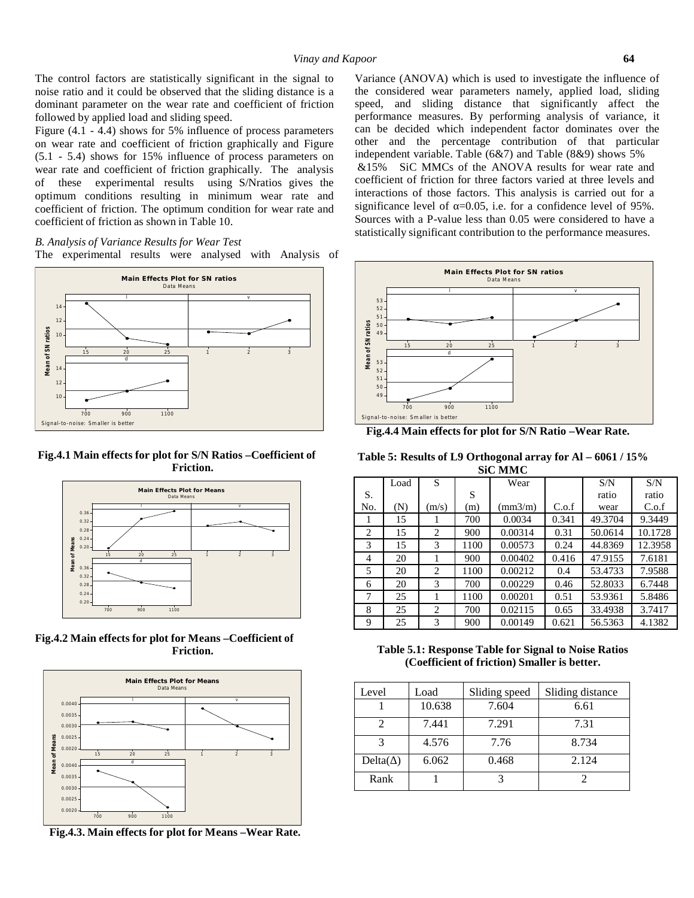The control factors are statistically significant in the signal to noise ratio and it could be observed that the sliding distance is a dominant parameter on the wear rate and coefficient of friction followed by applied load and sliding speed.

Figure (4.1 - 4.4) shows for 5% influence of process parameters on wear rate and coefficient of friction graphically and Figure (5.1 - 5.4) shows for 15% influence of process parameters on wear rate and coefficient of friction graphically. The analysis of these experimental results using S/Nratios gives the optimum conditions resulting in minimum wear rate and coefficient of friction. The optimum condition for wear rate and coefficient of friction as shown in Table 10.

*B. Analysis of Variance Results for Wear Test* The experimental results were analysed with Analysis of



**Fig.4.1 Main effects for plot for S/N Ratios –Coefficient of Friction.**



**Fig.4.2 Main effects for plot for Means –Coefficient of Friction.**



**Fig.4.3. Main effects for plot for Means –Wear Rate.**

Variance (ANOVA) which is used to investigate the influence of the considered wear parameters namely, applied load, sliding speed, and sliding distance that significantly affect the performance measures. By performing analysis of variance, it can be decided which independent factor dominates over the other and the percentage contribution of that particular independent variable. Table (6&7) and Table (8&9) shows 5% &15% SiC MMCs of the ANOVA results for wear rate and coefficient of friction for three factors varied at three levels and interactions of those factors. This analysis is carried out for a significance level of  $=0.05$ , i.e. for a confidence level of 95%. Sources with a P-value less than 0.05 were considered to have a statistically significant contribution to the performance measures.



**Fig.4.4 Main effects for plot for S/N Ratio –Wear Rate.**

| Table 5: Results of L9 Orthogonal array for Al – 6061 / 15% |
|-------------------------------------------------------------|
| <b>SiC MMC</b>                                              |

|                | Load | S              |      | Wear           |       | S/N     | S/N     |  |  |  |
|----------------|------|----------------|------|----------------|-------|---------|---------|--|--|--|
| S.             |      |                | S    |                |       | ratio   | ratio   |  |  |  |
| No.            | (N)  | (m/s)          | (m)  | $\text{mm3/m}$ | C.o.f | wear    | C.o.f   |  |  |  |
| 1              | 15   |                | 700  | 0.0034         | 0.341 | 49.3704 | 9.3449  |  |  |  |
| $\overline{c}$ | 15   | 2              | 900  | 0.00314        | 0.31  | 50.0614 | 10.1728 |  |  |  |
| 3              | 15   | 3              | 1100 | 0.00573        | 0.24  | 44.8369 | 12.3958 |  |  |  |
| $\overline{4}$ | 20   |                | 900  | 0.00402        | 0.416 | 47.9155 | 7.6181  |  |  |  |
| 5              | 20   | $\overline{c}$ | 1100 | 0.00212        | 0.4   | 53.4733 | 7.9588  |  |  |  |
| 6              | 20   | 3              | 700  | 0.00229        | 0.46  | 52.8033 | 6.7448  |  |  |  |
| 7              | 25   |                | 1100 | 0.00201        | 0.51  | 53.9361 | 5.8486  |  |  |  |
| 8              | 25   | $\overline{c}$ | 700  | 0.02115        | 0.65  | 33.4938 | 3.7417  |  |  |  |
| 9              | 25   | 3              | 900  | 0.00149        | 0.621 | 56.5363 | 4.1382  |  |  |  |

**Table 5.1: Response Table for Signal to Noise Ratios (Coefficient of friction) Smaller is better.**

| Level   | Load   | Sliding speed | Sliding distance |  |  |
|---------|--------|---------------|------------------|--|--|
|         | 10.638 | 7.604         | 6.61             |  |  |
|         | 7.441  | 7.291         | 7.31             |  |  |
| 2       | 4.576  | 7.76          | 8.734            |  |  |
| Delta() | 6.062  | 0.468         | 2.124            |  |  |
| Rank    |        |               |                  |  |  |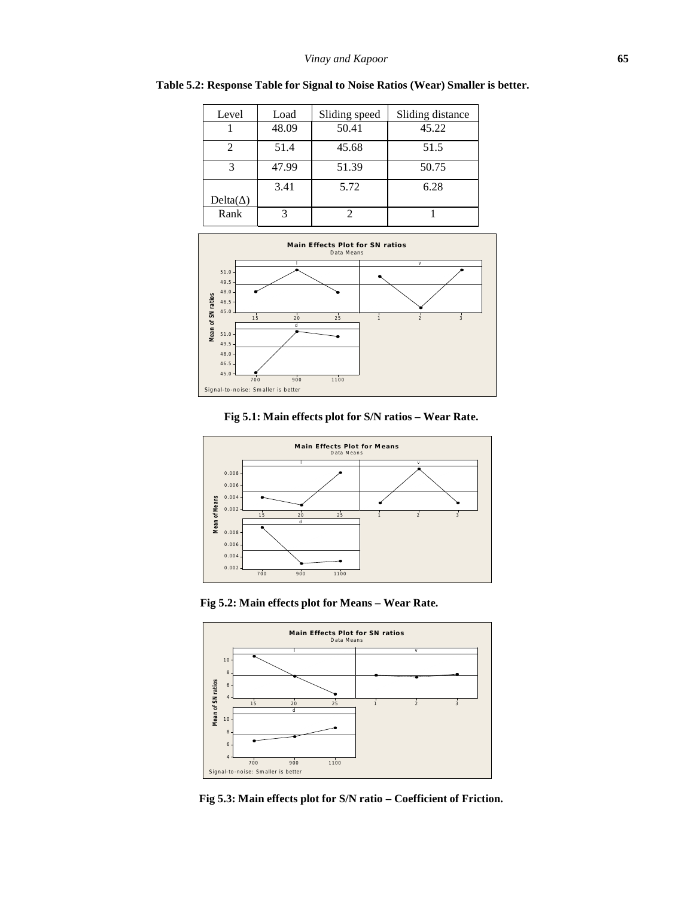| Level  | Load  | Sliding speed | Sliding distance |  |
|--------|-------|---------------|------------------|--|
|        | 48.09 | 50.41         | 45.22            |  |
|        | 51.4  | 45.68         | 51.5             |  |
| 3      | 47.99 | 51.39         | 50.75            |  |
|        | 3.41  | 5.72          | 6.28             |  |
| Delta( |       |               |                  |  |
| Rank   |       |               |                  |  |

**Table 5.2: Response Table for Signal to Noise Ratios (Wear) Smaller is better.**



## **Fig 5.1: Main effects plot for S/N ratios – Wear Rate.**



**Fig 5.2: Main effects plot for Means – Wear Rate.**



**Fig 5.3: Main effects plot for S/N ratio – Coefficient of Friction.**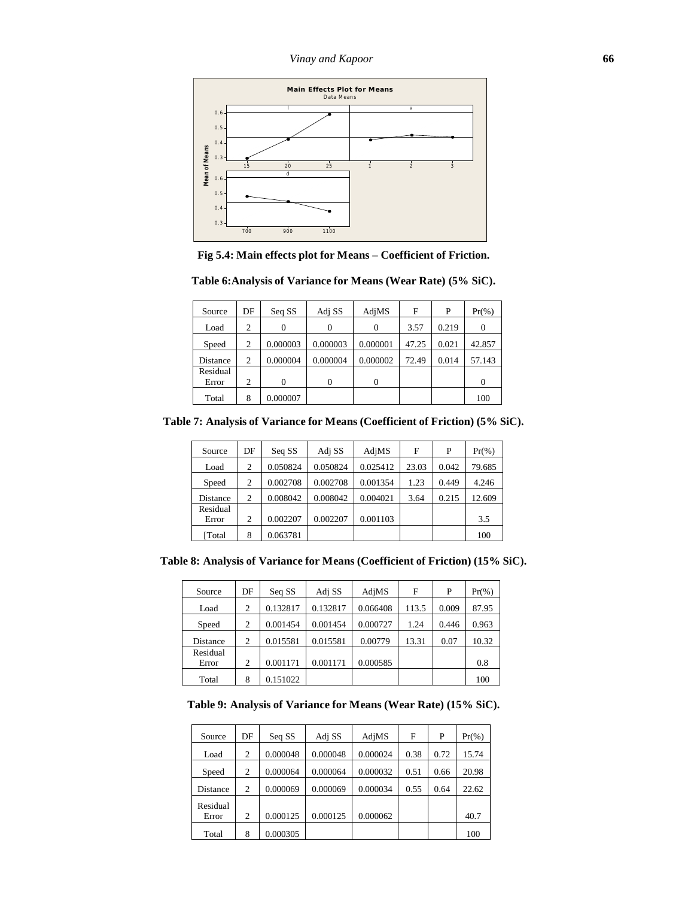

**Fig 5.4: Main effects plot for Means – Coefficient of Friction.**

| Source            | DF             | Seq SS   | Adj SS   | AdjMS    | F     | P     | $Pr(\% )$ |
|-------------------|----------------|----------|----------|----------|-------|-------|-----------|
| Load              | 2              | $\theta$ | $\Omega$ | $\theta$ | 3.57  | 0.219 | $\Omega$  |
| Speed             | $\overline{2}$ | 0.000003 | 0.000003 | 0.000001 | 47.25 | 0.021 | 42.857    |
| Distance          | 2              | 0.000004 | 0.000004 | 0.000002 | 72.49 | 0.014 | 57.143    |
| Residual<br>Error | $\overline{c}$ | $\Omega$ | $\theta$ | 0        |       |       | $\Omega$  |
| Total             | 8              | 0.000007 |          |          |       |       | 100       |

**Table 6:Analysis of Variance for Means (Wear Rate) (5% SiC).**

**Table 7: Analysis of Variance for Means (Coefficient of Friction) (5% SiC).**

| Source   | DF             | Seq SS   | Adj SS   | AdjMS    | F     | P     | $Pr(\% )$ |
|----------|----------------|----------|----------|----------|-------|-------|-----------|
| Load     | $\overline{c}$ | 0.050824 | 0.050824 | 0.025412 | 23.03 | 0.042 | 79.685    |
| Speed    | 2              | 0.002708 | 0.002708 | 0.001354 | 1.23  | 0.449 | 4.246     |
| Distance | $\overline{c}$ | 0.008042 | 0.008042 | 0.004021 | 3.64  | 0.215 | 12.609    |
| Residual |                |          |          |          |       |       |           |
| Error    | 2              | 0.002207 | 0.002207 | 0.001103 |       |       | 3.5       |
| [Total   | 8              | 0.063781 |          |          |       |       | 100       |

**Table 8: Analysis of Variance for Means (Coefficient of Friction) (15% SiC).**

| Source            | DF | Seq SS   | Adj SS   | AdjMS    | F     | P     | $Pr(\% )$ |
|-------------------|----|----------|----------|----------|-------|-------|-----------|
| Load              | 2  | 0.132817 | 0.132817 | 0.066408 | 113.5 | 0.009 | 87.95     |
| Speed             | 2  | 0.001454 | 0.001454 | 0.000727 | 1.24  | 0.446 | 0.963     |
| Distance          | 2  | 0.015581 | 0.015581 | 0.00779  | 13.31 | 0.07  | 10.32     |
| Residual<br>Error | 2  | 0.001171 | 0.001171 | 0.000585 |       |       | 0.8       |
| Total             | 8  | 0.151022 |          |          |       |       | 100       |

**Table 9: Analysis of Variance for Means (Wear Rate) (15% SiC).**

| Source            | DF             | Seq SS   | Adj SS   | AdjMS    | F    | P    | $Pr(\% )$ |
|-------------------|----------------|----------|----------|----------|------|------|-----------|
| Load              | 2              | 0.000048 | 0.000048 | 0.000024 | 0.38 | 0.72 | 15.74     |
| Speed             | 2              | 0.000064 | 0.000064 | 0.000032 | 0.51 | 0.66 | 20.98     |
| Distance          | 2              | 0.000069 | 0.000069 | 0.000034 | 0.55 | 0.64 | 22.62     |
| Residual<br>Error | $\overline{c}$ | 0.000125 | 0.000125 | 0.000062 |      |      | 40.7      |
| Total             | 8              | 0.000305 |          |          |      |      | 100       |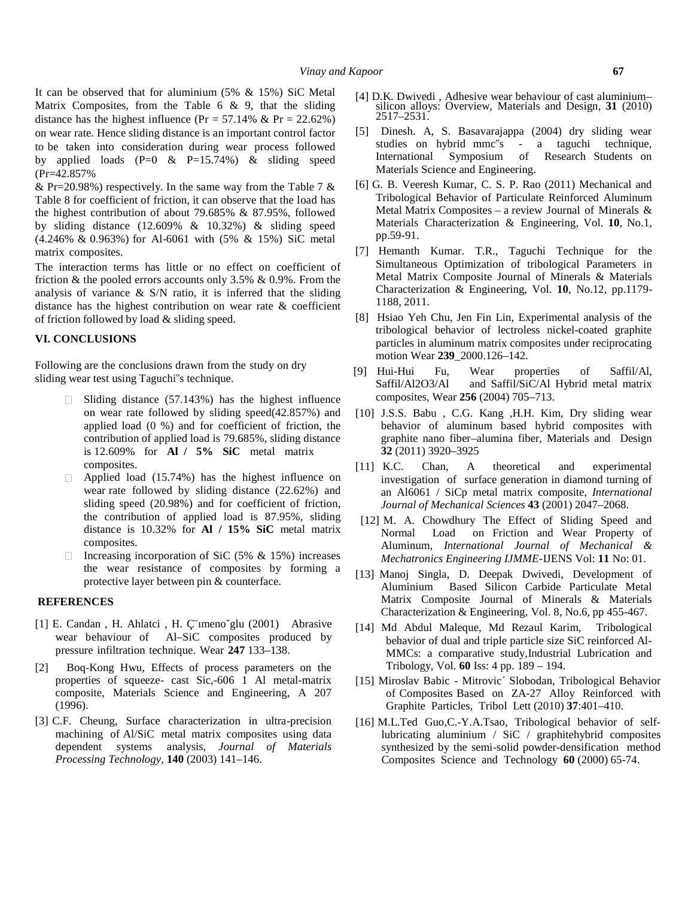It can be observed that for aluminium (5% & 15%) SiC Metal Matrix Composites, from the Table  $6 \& 9$ , that the sliding distance has the highest influence (Pr =  $57.14\%$  & Pr =  $22.62\%$ ) on wear rate. Hence sliding distance is an important control factor to be taken into consideration during wear process followed studies on hybrid mmc"s<br>by applied loads  $(P-0, \& P-15, 74\%)$   $\&$  sliding speed International Symposium by applied loads  $(P=0 \& P=15.74\%) \&$  sliding speed (Pr=42.857%

& Pr=20.98%) respectively. In the same way from the Table 7  $\&$ Table 8 for coefficient of friction, it can observe that the load has the highest contribution of about 79.685%  $& 87.95\%$ , followed by sliding distance  $(12.609\% \& 10.32\%) \&$  sliding speed (4.246% & 0.963%) for Al-6061 with (5% & 15%) SiC metal matrix composites.

The interaction terms has little or no effect on coefficient of friction  $&$  the pooled errors accounts only 3.5%  $& 0.9\%$ . From the analysis of variance  $\&$  S/N ratio, it is inferred that the sliding distance has the highest contribution on wear rate & coefficient of friction followed by load & sliding speed.

### **VI. CONCLUSIONS**

Following are the conclusions drawn from the study on dry sliding wear test using Taguchi"s technique.

- $\Box$  Sliding distance (57.143%) has the highest influence on wear rate followed by sliding speed(42.857%) and applied load (0 %) and for coefficient of friction, the contribution of applied load is 79.685%, sliding distance is 12.609% for **Al / 5% SiC** metal matrix composites.
- $\Box$ Applied load (15.74%) has the highest influence on wear rate followed by sliding distance (22.62%) and sliding speed (20.98%) and for coefficient of friction, the contribution of applied load is 87.95%, sliding distance is 10.32% for **Al /15% SiC** metal matrix composites.
- Increasing incorporation of SiC (5%  $&$  15%) increases the wear resistance of composites by forming a protective layer between pin & counterface.

### **REFERENCES**

- [1] E. Candan, H. Ahlatci, H. Çümeno glu (2001) Abrasive wear behaviour of Al–SiC composites produced by pressure infiltration technique. Wear **247** 133–138.
- [2] Boq-Kong Hwu, Effects of process parameters on the properties of squeeze- cast Sic,-606 1 Al metal-matrix composite, Materials Science and Engineering, A 207 (1996).
- [3] C.F. Cheung, Surface characterization in ultra-precision machining of Al/SiC metal matrix composites using data dependent systems analysis, *Journal of Materials Processing Technology,* **140** (2003) 141–146.
- [4] D.K. Dwivedi , Adhesive wear behaviour of cast aluminium– silicon alloys: Overview, Materials and Design, **31** (2010) 2517–2531.
- [5] Dinesh. A, S. Basavarajappa (2004) dry sliding wear - a taguchi technique, Symposium of Research Students on Materials Science and Engineering.
- [6] G. B. Veeresh Kumar, C. S. P. Rao (2011) Mechanical and Tribological Behavior of Particulate Reinforced Aluminum Metal Matrix Composites – a review Journal of Minerals  $\&$ Materials Characterization & Engineering, Vol. **10**, No.1, pp.59-91.
- [7] Hemanth Kumar. T.R., Taguchi Technique for the Simultaneous Optimization of tribological Parameters in Metal Matrix Composite Journal of Minerals & Materials Characterization & Engineering, Vol. **10**, No.12, pp.1179- 1188, 2011.
- [8] Hsiao Yeh Chu, Jen Fin Lin, Experimental analysis of the tribological behavior of lectroless nickel-coated graphite particles in aluminum matrix composites under reciprocating motion Wear **239**\_2000.126–142.
- [9] Hui-Hui Fu, Wear properties of Saffil/Al, Saffil/Al2O3/Al and Saffil/SiC/Al Hybrid metal matrix composites, Wear **256** (2004) 705–713.
- [10] J.S.S. Babu , C.G. Kang ,H.H. Kim, Dry sliding wear behavior of aluminum based hybrid composites with graphite nano fiber–alumina fiber, Materials and Design **32** (2011) 3920–3925
- [11] K.C. Chan, A theoretical and experimental investigation of surface generation in diamond turning of an Al6061 / SiCp metal matrix composite, *International Journal of Mechanical Sciences* **43** (2001) 2047–2068.
- [12] M. A. Chowdhury The Effect of Sliding Speed and Load on Friction and Wear Property of Aluminum, *International Journal of Mechanical & Mechatronics Engineering IJMME-*IJENS Vol:**11** No: 01.
- [13] Manoj Singla, D. Deepak Dwivedi, Development of Aluminium Based Silicon Carbide Particulate Metal Matrix Composite Journal of Minerals & Materials Characterization & Engineering, Vol. 8, No.6, pp 455-467.
- [14] Md Abdul Maleque, Md Rezaul Karim, Tribological behavior of dual and triple particle size SiC reinforced Al- MMCs: a comparative study,Industrial Lubrication and Tribology, Vol. **60** Iss:4 pp. 189 – 194.
- [15] Miroslav Babic Mitrovic´ Slobodan, Tribological Behavior of Composites Based on ZA-27 Alloy Reinforced with Graphite Particles, Tribol Lett (2010) **37**:401–410.
- [16] M.L.Ted Guo,C.-Y.A.Tsao, Tribological behavior of selflubricating aluminium / SiC / graphitehybrid composites synthesized by the semi-solid powder-densification method Composites Science and Technology **60** (2000) 65-74.